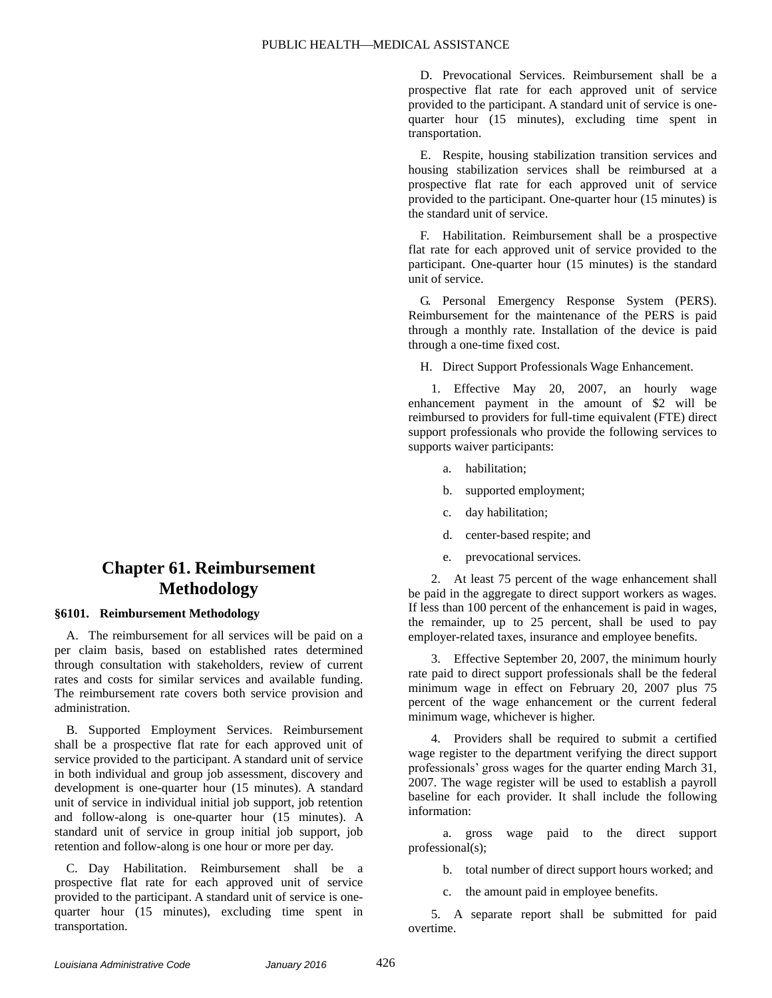D. Prevocational Services. Reimbursement shall be a prospective flat rate for each approved unit of service provided to the participant. A standard unit of service is onequarter hour (15 minutes), excluding time spent in transportation.

E. Respite, housing stabilization transition services and housing stabilization services shall be reimbursed at a prospective flat rate for each approved unit of service provided to the participant. One-quarter hour (15 minutes) is the standard unit of service.

F. Habilitation. Reimbursement shall be a prospective flat rate for each approved unit of service provided to the participant. One-quarter hour (15 minutes) is the standard unit of service.

G. Personal Emergency Response System (PERS). Reimbursement for the maintenance of the PERS is paid through a monthly rate. Installation of the device is paid through a one-time fixed cost.

H. Direct Support Professionals Wage Enhancement.

1. Effective May 20, 2007, an hourly wage enhancement payment in the amount of \$2 will be reimbursed to providers for full-time equivalent (FTE) direct support professionals who provide the following services to supports waiver participants:

- a. habilitation;
- b. supported employment;
- c. day habilitation;
- d. center-based respite; and
- e. prevocational services.

2. At least 75 percent of the wage enhancement shall be paid in the aggregate to direct support workers as wages. If less than 100 percent of the enhancement is paid in wages, the remainder, up to 25 percent, shall be used to pay employer-related taxes, insurance and employee benefits.

3. Effective September 20, 2007, the minimum hourly rate paid to direct support professionals shall be the federal minimum wage in effect on February 20, 2007 plus 75 percent of the wage enhancement or the current federal minimum wage, whichever is higher.

4. Providers shall be required to submit a certified wage register to the department verifying the direct support professionals' gross wages for the quarter ending March 31, 2007. The wage register will be used to establish a payroll baseline for each provider. It shall include the following information:

a. gross wage paid to the direct support professional(s);

b. total number of direct support hours worked; and

c. the amount paid in employee benefits.

5. A separate report shall be submitted for paid overtime.

## **Chapter 61. Reimbursement Methodology**

## **§6101. Reimbursement Methodology**

A. The reimbursement for all services will be paid on a per claim basis, based on established rates determined through consultation with stakeholders, review of current rates and costs for similar services and available funding. The reimbursement rate covers both service provision and administration.

B. Supported Employment Services. Reimbursement shall be a prospective flat rate for each approved unit of service provided to the participant. A standard unit of service in both individual and group job assessment, discovery and development is one-quarter hour (15 minutes). A standard unit of service in individual initial job support, job retention and follow-along is one-quarter hour (15 minutes). A standard unit of service in group initial job support, job retention and follow-along is one hour or more per day.

C. Day Habilitation. Reimbursement shall be a prospective flat rate for each approved unit of service provided to the participant. A standard unit of service is onequarter hour (15 minutes), excluding time spent in transportation.